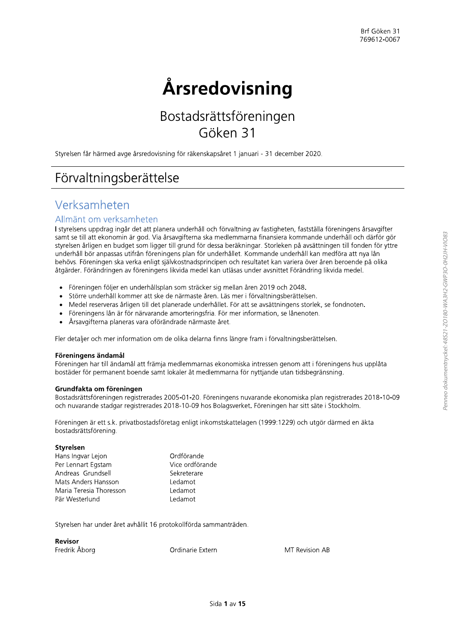# Årsredovisning

## Bostadsrättsföreningen Göken 31

Styrelsen får härmed avge årsredovisning för räkenskapsåret 1 januari - 31 december 2020.

## Förvaltningsberättelse

### Verksamheten

### Allmänt om verksamheten

I styrelsens uppdrag ingår det att planera underhåll och förvaltning av fastigheten, fastställa föreningens årsavgifter samt se till att ekonomin är god. Via årsavgifterna ska medlemmarna finansiera kommande underhåll och därför gör styrelsen årligen en budget som ligger till grund för dessa beräkningar. Storleken på avsättningen till fonden för yttre underhåll bör anpassas utifrån föreningens plan för underhållet. Kommande underhåll kan medföra att nya lån behövs. Föreningen ska verka enligt självkostnadsprincipen och resultatet kan variera över åren beroende på olika åtgärder. Förändringen av föreningens likvida medel kan utläsas under avsnittet Förändring likvida medel.

- Föreningen följer en underhållsplan som sträcker sig mellan åren 2019 och 2048.
- Större underhåll kommer att ske de närmaste åren. Läs mer i förvaltningsberättelsen.
- Medel reserveras årligen till det planerade underhållet. För att se avsättningens storlek, se fondnoten.  $\bullet$
- Föreningens lån är för närvarande amorteringsfria. För mer information, se lånenoten.  $\bullet$
- Årsavgifterna planeras vara oförändrade närmaste året.  $\bullet$

Fler detaljer och mer information om de olika delarna finns längre fram i förvaltningsberättelsen.

### Föreningens ändamål

Föreningen har till ändamål att främja medlemmarnas ekonomiska intressen genom att i föreningens hus upplåta bostäder för permanent boende samt lokaler åt medlemmarna för nyttjande utan tidsbegränsning.

### Grundfakta om föreningen

Bostadsrättsföreningen registrerades 2005-01-20. Föreningens nuvarande ekonomiska plan registrerades 2018-10-09 och nuvarande stadgar registrerades 2018-10-09 hos Bolagsverket. Föreningen har sitt säte i Stockholm.

Föreningen är ett s.k. privatbostadsföretag enligt inkomstskattelagen (1999:1229) och utgör därmed en äkta bostadsrättsförening.

### Styrelsen

| Hans Ingvar Lejon       | Ordförande      |
|-------------------------|-----------------|
| Per Lennart Egstam      | Vice ordförande |
| Andreas Grundsell       | Sekreterare     |
| Mats Anders Hansson     | Ledamot         |
| Maria Teresia Thoresson | Ledamot         |
| Pär Westerlund          | Ledamot         |

Styrelsen har under året avhållit 16 protokollförda sammanträden.

#### **Revisor**

Fredrik Åborg

Ordinarie Extern

MT Revision AB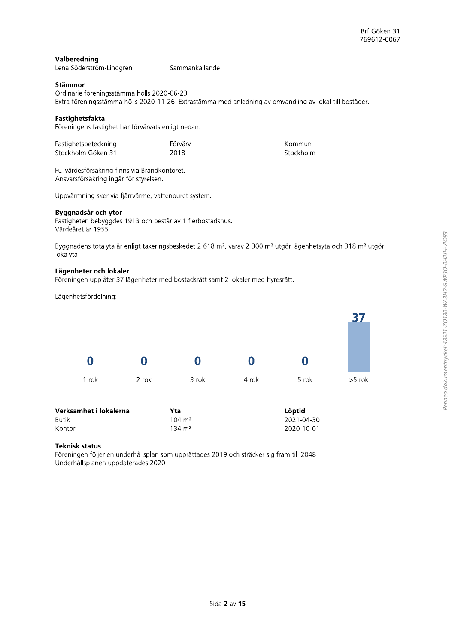### Valberedning

| Lena Söderström-Lindgren | Sammankallande |
|--------------------------|----------------|
|--------------------------|----------------|

### Stämmor

Ordinarie föreningsstämma hölls 2020-06-23. Extra föreningsstämma hölls 2020-11-26. Extrastämma med anledning av omvandling av lokal till bostäder.

### Fastighetsfakta

Föreningens fastighet har förvärvats enligt nedan:

| Fastighetsbeteckning | orvárv                                                                                  | Kommun    |
|----------------------|-----------------------------------------------------------------------------------------|-----------|
| Stockholm Göken 31   | 2018<br>the contract of the contract of the contract of the contract of the contract of | stockholm |

Fullvärdesförsäkring finns via Brandkontoret. Ansvarsförsäkring ingår för styrelsen.

Uppvärmning sker via fjärrvärme, vattenburet system.

#### Byggnadsår och ytor

Fastigheten bebyggdes 1913 och består av 1 flerbostadshus. Värdeåret är 1955.

Byggnadens totalyta är enligt taxeringsbeskedet 2 618 m<sup>2</sup>, varav 2 300 m<sup>2</sup> utgör lägenhetsyta och 318 m<sup>2</sup> utgör lokalyta.

### Lägenheter och lokaler

Föreningen upplåter 37 lägenheter med bostadsrätt samt 2 lokaler med hyresrätt.

Lägenhetsfördelning:



| Verksamhet i lokalerna | Yta                   | Löptid     |
|------------------------|-----------------------|------------|
| <b>Butik</b>           | $104 \; \mathrm{m}^2$ | 2021-04-30 |
| Kontor                 | 134 m <sup>2</sup>    | 2020-10-01 |

### **Teknisk status**

Föreningen följer en underhållsplan som upprättades 2019 och sträcker sig fram till 2048. Underhållsplanen uppdaterades 2020.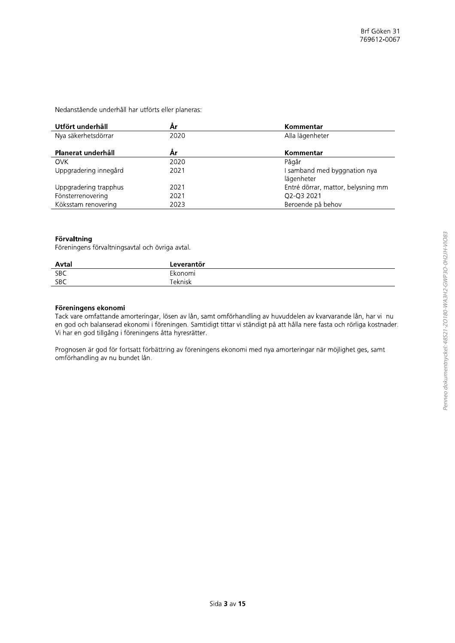Nedanstående underhåll har utförts eller planeras:

| Utfört underhåll      | År   | Kommentar                          |
|-----------------------|------|------------------------------------|
| Nya säkerhetsdörrar   | 2020 | Alla lägenheter                    |
| Planerat underhåll    | År   | Kommentar                          |
| <b>OVK</b>            | 2020 | Pågår                              |
| Uppgradering innegård | 2021 | I samband med byggnation nya       |
|                       |      | lägenheter                         |
| Uppgradering trapphus | 2021 | Entré dörrar, mattor, belysning mm |
| Fönsterrenovering     | 2021 | Q2-Q3 2021                         |
| Köksstam renovering   | 2023 | Beroende på behov                  |

### Förvaltning

Föreningens förvaltningsavtal och övriga avtal.

| Avtal      | Leverantör |  |
|------------|------------|--|
| <b>SBC</b> | Ekonomi    |  |
| <b>SBC</b> | Teknisk    |  |

### Föreningens ekonomi

Tack vare omfattande amorteringar, lösen av lån, samt omförhandling av huvuddelen av kvarvarande lån, har vi nu en god och balanserad ekonomi i föreningen. Samtidigt tittar vi ständigt på att hålla nere fasta och rörliga kostnader. Vi har en god tillgång i föreningens åtta hyresrätter.

Prognosen är god för fortsatt förbättring av föreningens ekonomi med nya amorteringar när möjlighet ges, samt omförhandling av nu bundet lån.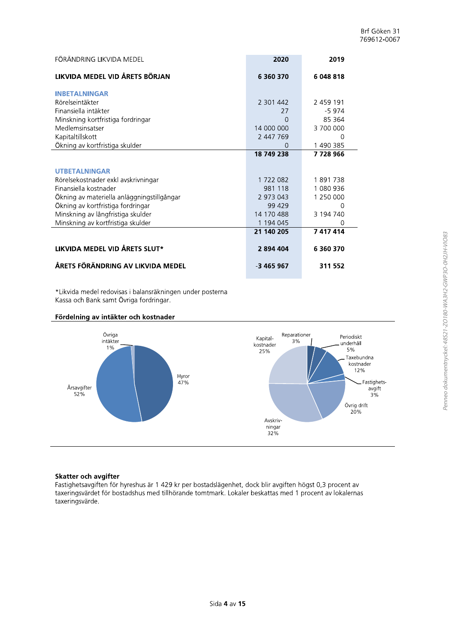| FÖRÄNDRING LIKVIDA MEDEL                   | 2020       | 2019      |
|--------------------------------------------|------------|-----------|
| LIKVIDA MEDEL VID ÅRETS BÖRJAN             | 6 360 370  | 6 048 818 |
| <b>INBETALNINGAR</b>                       |            |           |
| Rörelseintäkter                            | 2 301 442  | 2 459 191 |
| Finansiella intäkter                       | 27         | $-5974$   |
| Minskning kortfristiga fordringar          | 0          | 85 364    |
| Medlemsinsatser                            | 14 000 000 | 3700000   |
| Kapitaltillskott                           | 2 447 769  | 0         |
| Ökning av kortfristiga skulder             | O          | 1 490 385 |
|                                            | 18 749 238 | 7728966   |
|                                            |            |           |
| <b>UTBETALNINGAR</b>                       |            |           |
| Rörelsekostnader exkl avskrivningar        | 1 722 082  | 1891738   |
| Finansiella kostnader                      | 981 118    | 1 080 936 |
| Ökning av materiella anläggningstillgångar | 2 973 043  | 1 250 000 |
| Ökning av kortfristiga fordringar          | 99 429     | O         |
| Minskning av långfristiga skulder          | 14 170 488 | 3 194 740 |
| Minskning av kortfristiga skulder          | 1 194 045  | 0         |
|                                            | 21 140 205 | 7 417 414 |
| LIKVIDA MEDEL VID ÅRETS SLUT*              | 2894404    | 6 360 370 |
| ÅRETS FÖRÄNDRING AV LIKVIDA MEDEL          | -3 465 967 | 311 552   |

\*Likvida medel redovisas i balansräkningen under posterna Kassa och Bank samt Övriga fordringar.

### Fördelning av intäkter och kostnader



### Skatter och avgifter

Fastighetsavgiften för hyreshus är 1 429 kr per bostadslägenhet, dock blir avgiften högst 0,3 procent av taxeringsvärdet för bostadshus med tillhörande tomtmark. Lokaler beskattas med 1 procent av lokalernas taxeringsvärde.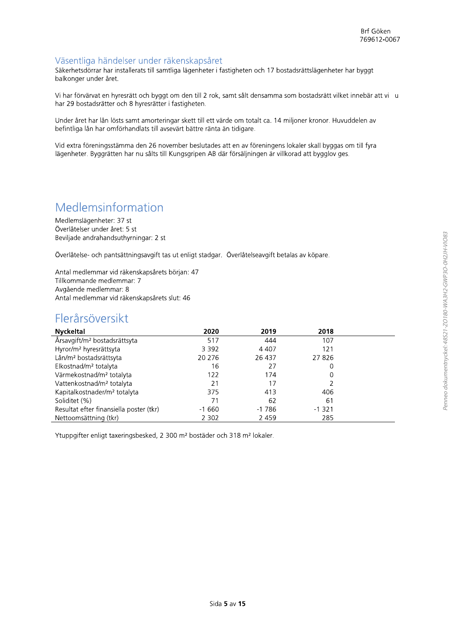### Väsentliga händelser under räkenskapsåret

Säkerhetsdörrar har installerats till samtliga lägenheter i fastigheten och 17 bostadsrättslägenheter har byggt balkonger under året.

Vi har förvärvat en hyresrätt och byggt om den till 2 rok, samt sålt densamma som bostadsrätt vilket innebär att vi u har 29 bostadsrätter och 8 hyresrätter i fastigheten.

Under året har lån lösts samt amorteringar skett till ett värde om totalt ca. 14 miljoner kronor. Huvuddelen av befintliga lån har omförhandlats till avsevärt bättre ränta än tidigare.

Vid extra föreningsstämma den 26 november beslutades att en av föreningens lokaler skall byggas om till fyra lägenheter. Byggrätten har nu sålts till Kungsgripen AB där försäljningen är villkorad att bygglov ges.

### Medlemsinformation

Medlemslägenheter: 37 st Överlåtelser under året: 5 st Beviljade andrahandsuthyrningar: 2 st

Överlåtelse- och pantsättningsavgift tas ut enligt stadgar. Överlåtelseavgift betalas av köpare.

Antal medlemmar vid räkenskapsårets början: 47 Tillkommande medlemmar: 7 Avgående medlemmar: 8 Antal medlemmar vid räkenskapsårets slut: 46

### Flerårsöversikt

| <b>Nyckeltal</b>                         | 2020    | 2019    | 2018     |  |
|------------------------------------------|---------|---------|----------|--|
| Årsavgift/m <sup>2</sup> bostadsrättsyta | 517     | 444     | 107      |  |
| Hyror/m <sup>2</sup> hyresrättsyta       | 3 3 9 2 | 4 4 0 7 | 121      |  |
| Lån/m <sup>2</sup> bostadsrättsyta       | 20 276  | 26 437  | 27826    |  |
| Elkostnad/m <sup>2</sup> totalyta        | 16      | 27      | 0        |  |
| Värmekostnad/m <sup>2</sup> totalyta     | 122     | 174     | 0        |  |
| Vattenkostnad/m <sup>2</sup> totalyta    | 21      | 17      |          |  |
| Kapitalkostnader/m <sup>2</sup> totalyta | 375     | 413     | 406      |  |
| Soliditet (%)                            | 71      | 62      | 61       |  |
| Resultat efter finansiella poster (tkr)  | $-1660$ | $-1786$ | $-1.321$ |  |
| Nettoomsättning (tkr)                    | 2 3 0 2 | 2 4 5 9 | 285      |  |

Ytuppgifter enligt taxeringsbesked, 2 300 m<sup>2</sup> bostäder och 318 m<sup>2</sup> lokaler.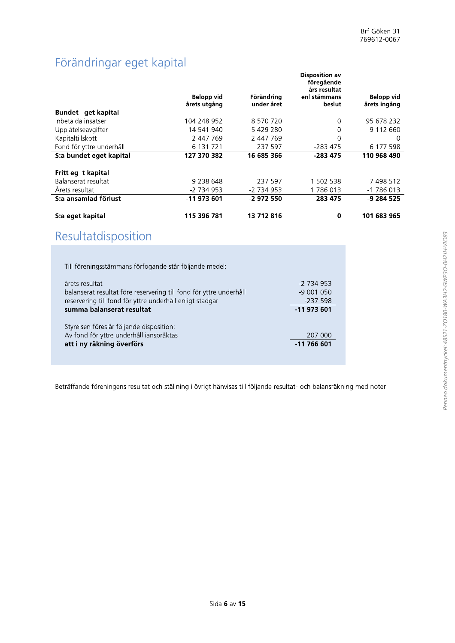## Förändringar eget kapital

|                          | Belopp vid<br>årets utgång | Förändring<br>under året | <b>Disposition av</b><br>föregående<br>års resultat<br>enl stämmans<br>beslut | Belopp vid<br>årets ingång |
|--------------------------|----------------------------|--------------------------|-------------------------------------------------------------------------------|----------------------------|
| Bundet get kapital       |                            |                          |                                                                               |                            |
| Inbetalda insatser       | 104 248 952                | 8 570 720                | 0                                                                             | 95 678 232                 |
| Upplåtelseavgifter       | 14 541 940                 | 5429280                  | 0                                                                             | 9 112 660                  |
| Kapitaltillskott         | 2 447 769                  | 2 447 769                | 0                                                                             | O                          |
| Fond för yttre underhåll | 6 131 721                  | 237 597                  | -283 475                                                                      | 6 177 598                  |
| S:a bundet eget kapital  | 127 370 382                | 16 685 366               | $-283475$                                                                     | 110 968 490                |
| Fritt eg t kapital       |                            |                          |                                                                               |                            |
| Balanserat resultat      | -9 238 648                 | -237 597                 | $-1$ 502 538                                                                  | $-7498512$                 |
| Årets resultat           | -2 734 953                 | -2 734 953               | 1786013                                                                       | -1 786 013                 |
| S:a ansamlad förlust     | -11 973 601                | -2 972 550               | 283 475                                                                       | -9 284 525                 |
| S:a eget kapital         | 115 396 781                | 13 712 816               | 0                                                                             | 101 683 965                |

## Resultatdisposition

| Till föreningsstämmans förfogande står följande medel:                                                                                                                        |                                                      |
|-------------------------------------------------------------------------------------------------------------------------------------------------------------------------------|------------------------------------------------------|
| årets resultat<br>balanserat resultat före reservering till fond för yttre underhåll<br>reservering till fond för yttre underhåll enligt stadgar<br>summa balanserat resultat | $-2734953$<br>$-9001050$<br>$-237598$<br>$-11973601$ |
| Styrelsen föreslår följande disposition:<br>Av fond för yttre underhåll ianspråktas<br>att i ny räkning överförs                                                              | 207 000<br>$-11766601$                               |

Beträffande föreningens resultat och ställning i övrigt hänvisas till följande resultat- och balansräkning med noter.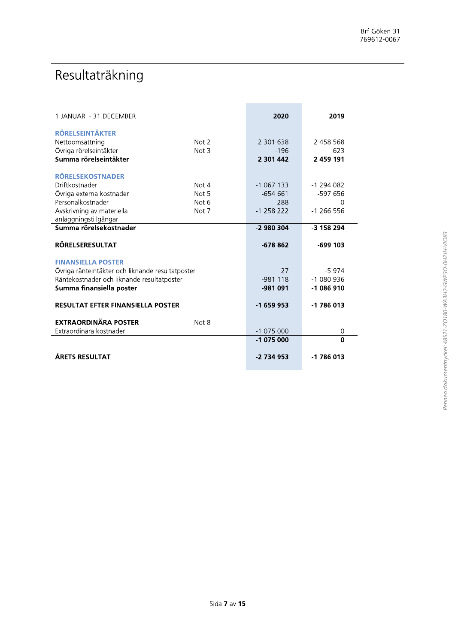## Resultaträkning

| 1 JANUARI - 31 DECEMBER                          |         | 2020         | 2019       |
|--------------------------------------------------|---------|--------------|------------|
| <b>RÖRELSEINTÄKTER</b>                           |         |              |            |
| Nettoomsättning                                  | Not 2   | 2 301 638    | 2 458 568  |
| Övriga rörelseintäkter                           | Not $3$ | $-196$       | 623        |
| Summa rörelseintäkter                            |         | 2 301 442    | 2 459 191  |
|                                                  |         |              |            |
| <b>RÖRELSEKOSTNADER</b>                          |         |              |            |
| Driftkostnader                                   | Not 4   | $-1067133$   | $-1294082$ |
| Övriga externa kostnader                         | Not 5   | $-654661$    | -597 656   |
| Personalkostnader                                | Not 6   | $-288$       | ∩          |
| Avskrivning av materiella                        | Not 7   | $-1$ 258 222 | $-1266556$ |
| anläggningstillgångar                            |         |              |            |
| Summa rörelsekostnader                           |         | $-2980304$   | -3 158 294 |
|                                                  |         |              |            |
| <b>RÖRELSERESULTAT</b>                           |         | $-678862$    | $-699$ 103 |
|                                                  |         |              |            |
| <b>FINANSIELLA POSTER</b>                        |         |              |            |
| Övriga ränteintäkter och liknande resultatposter |         | 27           | $-5974$    |
| Räntekostnader och liknande resultatposter       |         | $-981118$    | $-1080936$ |
| Summa finansiella poster                         |         | $-981091$    | $-1086910$ |
|                                                  |         |              |            |
| <b>RESULTAT EFTER FINANSIELLA POSTER</b>         |         | $-1659953$   | $-1786013$ |
| <b>EXTRAORDINÄRA POSTER</b>                      | Not 8   |              |            |
| Extraordinära kostnader                          |         | $-1075000$   | 0          |
|                                                  |         | $-1075000$   | $\Omega$   |
|                                                  |         |              |            |
| ÅRETS RESULTAT                                   |         | -2 734 953   | $-1786013$ |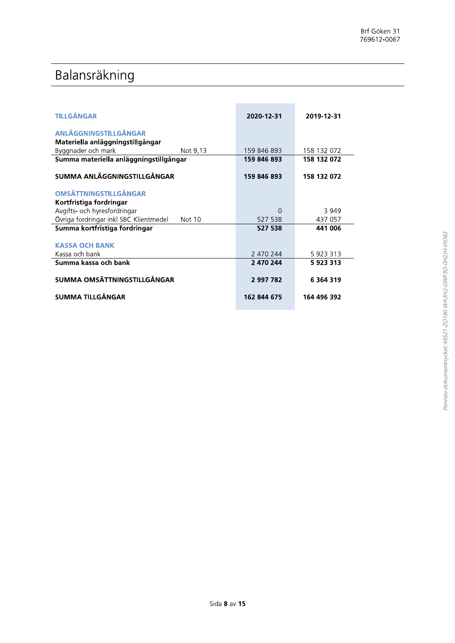## Balansräkning

| Balansräkning<br><b>TILLGÅNGAR</b><br>ANLÄGGNINGSTILLGÅNGAR<br>Materiella anläggningstillgångar | 2020-12-31  | 2019-12-31    |
|-------------------------------------------------------------------------------------------------|-------------|---------------|
|                                                                                                 |             |               |
|                                                                                                 |             |               |
|                                                                                                 |             |               |
|                                                                                                 |             |               |
|                                                                                                 |             |               |
|                                                                                                 |             |               |
| Byggnader och mark<br>Not 9,13                                                                  | 159 846 893 | 158 132 072   |
| Summa materiella anläggningstillgångar                                                          | 159 846 893 | 158 132 072   |
| SUMMA ANLÄGGNINGSTILLGÅNGAR                                                                     | 159 846 893 | 158 132 072   |
| <b>OMSÄTTNINGSTILLGÅNGAR</b>                                                                    |             |               |
| Kortfristiga fordringar                                                                         |             |               |
| Avgifts- och hyresfordringar                                                                    | 0           | 3 9 4 9       |
| Övriga fordringar inkl SBC Klientmedel<br>Not 10                                                | 527 538     | 437 057       |
| Summa kortfristiga fordringar                                                                   | 527 538     | 441 006       |
| <b>KASSA OCH BANK</b>                                                                           |             |               |
| Kassa och bank                                                                                  | 2 470 244   | 5 923 313     |
| Summa kassa och bank                                                                            | 2 470 244   | 5 923 313     |
|                                                                                                 |             |               |
| SUMMA OMSÄTTNINGSTILLGÅNGAR                                                                     | 2 997 782   | 6 3 6 4 3 1 9 |
| <b>SUMMA TILLGÅNGAR</b>                                                                         | 162 844 675 | 164 496 392   |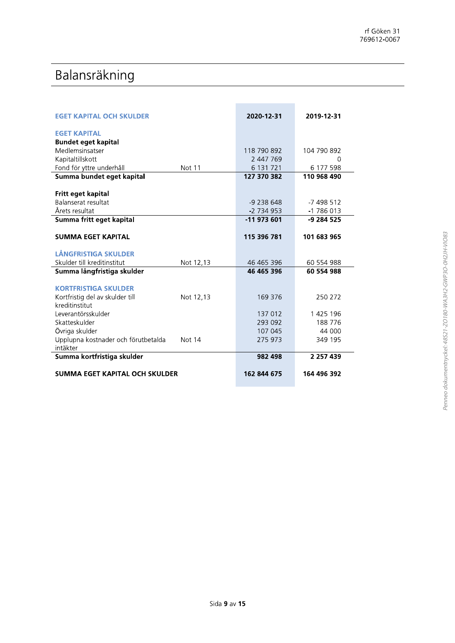## Balansräkning

| <b>EGET KAPITAL OCH SKULDER</b>               | 2020-12-31  | 2019-12-31    |  |
|-----------------------------------------------|-------------|---------------|--|
| <b>EGET KAPITAL</b>                           |             |               |  |
| <b>Bundet eget kapital</b>                    |             |               |  |
| Medlemsinsatser                               | 118 790 892 | 104 790 892   |  |
| Kapitaltillskott                              | 2 447 769   | $\Omega$      |  |
| Fond för yttre underhåll<br>Not 11            | 6 131 721   | 6 177 598     |  |
| Summa bundet eget kapital                     | 127 370 382 | 110 968 490   |  |
| Fritt eget kapital                            |             |               |  |
| Balanserat resultat                           | -9 238 648  | $-7498512$    |  |
| Årets resultat                                | -2 734 953  | $-1786013$    |  |
| Summa fritt eget kapital                      | -11 973 601 | -9 284 525    |  |
| <b>SUMMA EGET KAPITAL</b>                     | 115 396 781 | 101 683 965   |  |
|                                               |             |               |  |
| LÅNGFRISTIGA SKULDER                          |             |               |  |
| Skulder till kreditinstitut<br>Not 12,13      | 46 465 396  | 60 554 988    |  |
| Summa långfristiga skulder                    | 46 465 396  | 60 554 988    |  |
| <b>KORTFRISTIGA SKULDER</b>                   |             |               |  |
| Kortfristig del av skulder till<br>Not 12,13  | 169 376     | 250 272       |  |
| kreditinstitut                                |             |               |  |
| Leverantörsskulder                            | 137 012     | 1 425 196     |  |
| Skatteskulder                                 | 293 092     | 188776        |  |
| Övriga skulder                                | 107 045     | 44 000        |  |
| Upplupna kostnader och förutbetalda<br>Not 14 | 275 973     | 349 195       |  |
| intäkter<br>Summa kortfristiga skulder        | 982 498     | 2 2 5 7 4 3 9 |  |
|                                               |             |               |  |
| SUMMA EGET KAPITAL OCH SKULDER                | 162 844 675 | 164 496 392   |  |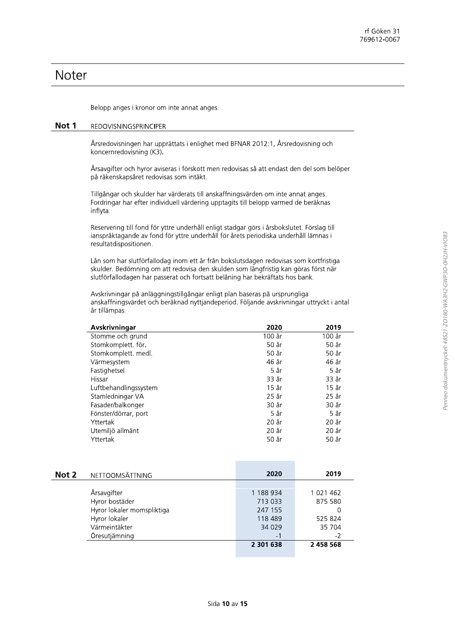### Noter

Belopp anges i kronor om inte annat anges.

#### Not 1 **REDOVISNINGSPRINCIPER**

Årsredovisningen har upprättats i enlighet med BFNAR 2012:1, Årsredovisning och koncernredovisning (K3).

Årsavgifter och hyror aviseras i förskott men redovisas så att endast den del som belöper på räkenskapsåret redovisas som intäkt.

Tillgångar och skulder har värderats till anskaffningsvärden om inte annat anges. Fordringar har efter individuell värdering upptagits till belopp varmed de beräknas inflyta.

Reservering till fond för yttre underhåll enligt stadgar görs i årsbokslutet. Förslag till ianspråktagande av fond för yttre underhåll för årets periodiska underhåll lämnas i resultatdispositionen.

Lån som har slutförfallodag inom ett år från bokslutsdagen redovisas som kortfristiga skulder. Bedömning om att redovisa den skulden som långfristig kan göras först när slutförfallodagen har passerat och fortsatt belåning har bekräftats hos bank.

Avskrivningar på anläggningstillgångar enligt plan baseras på ursprungliga anskaffningsvärdet och beräknad nyttjandeperiod. Följande avskrivningar uttryckt i antal år tillämpas.

| Avskrivningar         | 2020   | 2019    |
|-----------------------|--------|---------|
| Stomme och grund      | 100 år | 100 år  |
| Stomkomplett. för.    | 50 år  | 50 år   |
| Stomkomplett. medl.   | 50 år  | 50 år   |
| Värmesystem           | 46 år  | 46 år   |
| Fastighetsel          | 5 år   | 5 år    |
| Hissar                | 33 år  | 33 år   |
| Luftbehandlingssystem | 15 år  | $15$ år |
| Stamledningar VA      | 25 år  | 25 år   |
| Fasader/balkonger     | 30 år  | 30 år   |
| Fönster/dörrar, port  | 5 år   | 5 år    |
| Yttertak              | 20 år  | 20 år   |
| Utemiljö allmänt      | 20 år  | 20 år   |
| Yttertak              | 50 år  | 50 år   |

| Not 2 | NETTOOMSÄTTNING            | 2020      | 2019      |
|-------|----------------------------|-----------|-----------|
|       |                            |           |           |
|       | Årsavgifter                | 1 188 934 | 1 021 462 |
|       | Hyror bostäder             | 713 033   | 875 580   |
|       | Hyror lokaler momspliktiga | 247 155   | 0         |
|       | Hyror lokaler              | 118 489   | 525 824   |
|       | Värmeintäkter              | 34 0 29   | 35 704    |
|       | Öresutjämning              | $-1$      | -2        |
|       |                            | 2 301 638 | 2 458 568 |
|       |                            |           |           |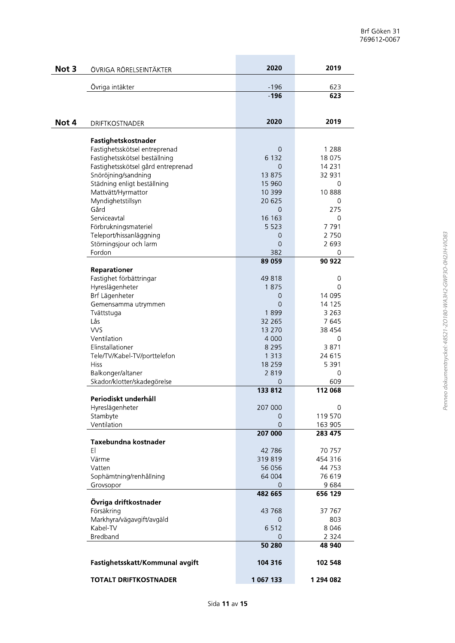| Not 3 | ÖVRIGA RÖRELSEINTÄKTER                             | 2020               | 2019               |
|-------|----------------------------------------------------|--------------------|--------------------|
|       |                                                    |                    |                    |
|       | Övriga intäkter                                    | $-196$             | 623                |
|       |                                                    | $-196$             | 623                |
|       |                                                    |                    |                    |
| Not 4 | <b>DRIFTKOSTNADER</b>                              | 2020               | 2019               |
|       |                                                    |                    |                    |
|       | Fastighetskostnader                                |                    |                    |
|       | Fastighetsskötsel entreprenad                      | $\Omega$           | 1 2 8 8            |
|       | Fastighetsskötsel beställning                      | 6 1 3 2            | 18 075             |
|       | Fastighetsskötsel gård entreprenad                 | $\Omega$<br>13 875 | 14 2 3 1<br>32 931 |
|       | Snöröjning/sandning<br>Städning enligt beställning | 15 960             | 0                  |
|       | Mattvätt/Hyrmattor                                 | 10 399             | 10888              |
|       | Myndighetstillsyn                                  | 20 625             | 0                  |
|       | Gård                                               | $\Omega$           | 275                |
|       | Serviceavtal                                       | 16 163             | 0                  |
|       | Förbrukningsmateriel                               | 5 5 2 3            | 7791               |
|       | Teleport/hissanläggning                            | 0                  | 2 7 5 0            |
|       | Störningsjour och larm                             | $\Omega$           | 2 6 9 3            |
|       | Fordon                                             | 382                | 0                  |
|       |                                                    | 89 059             | 90 922             |
|       | Reparationer                                       |                    |                    |
|       | Fastighet förbättringar                            | 49818<br>1875      | 0<br>0             |
|       | Hyreslägenheter<br>Brf Lägenheter                  | 0                  | 14 095             |
|       | Gemensamma utrymmen                                | $\Omega$           | 14 125             |
|       | Tvättstuga                                         | 1899               | 3 2 6 3            |
|       | Lås                                                | 32 265             | 7645               |
|       | <b>VVS</b>                                         | 13 270             | 38 4 54            |
|       | Ventilation                                        | 4 0 0 0            | 0                  |
|       | Elinstallationer                                   | 8 2 9 5            | 3871               |
|       | Tele/TV/Kabel-TV/porttelefon                       | 1 3 1 3            | 24 615             |
|       | <b>Hiss</b>                                        | 18 259             | 5 3 9 1            |
|       | Balkonger/altaner                                  | 2819               | 0                  |
|       | Skador/klotter/skadegörelse                        | 0<br>133 812       | 609                |
|       | Periodiskt underhåll                               |                    | 112 068            |
|       | Hyreslägenheter                                    | 207 000            | 0                  |
|       | Stambyte                                           | 0                  | 119 570            |
|       | Ventilation                                        | $\Omega$           | 163 905            |
|       |                                                    | 207 000            | 283 475            |
|       | Taxebundna kostnader<br>EI                         | 42 786             | 70 757             |
|       | Värme                                              | 319819             | 454 316            |
|       | Vatten                                             | 56 056             | 44 753             |
|       | Sophämtning/renhållning                            | 64 004             | 76 619             |
|       | Grovsopor                                          | 0                  | 9684               |
|       |                                                    | 482 665            | 656 129            |
|       | Övriga driftkostnader                              |                    |                    |
|       | Försäkring                                         | 43 768<br>$\Omega$ | 37 767             |
|       | Markhyra/vägavgift/avgäld<br>Kabel-TV              | 6512               | 803<br>8 0 4 6     |
|       | Bredband                                           | 0                  | 2 3 2 4            |
|       |                                                    | 50 280             | 48 940             |
|       | Fastighetsskatt/Kommunal avgift                    | 104 316            | 102 548            |
|       | <b>TOTALT DRIFTKOSTNADER</b>                       | 1 067 133          | 1 294 082          |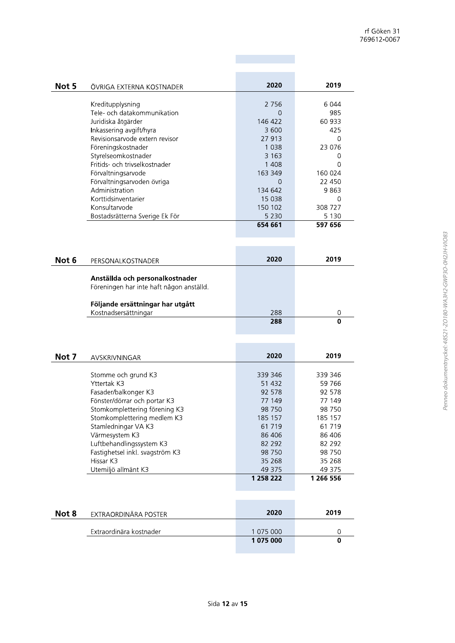| Not 5 | ÖVRIGA EXTERNA KOSTNADER       | 2020    | 2019    |
|-------|--------------------------------|---------|---------|
|       |                                |         |         |
|       | Kreditupplysning               | 2 7 5 6 | 6 0 4 4 |
|       | Tele- och datakommunikation    | 0       | 985     |
|       | Juridiska åtgärder             | 146 422 | 60 933  |
|       | Inkassering avgift/hyra        | 3 600   | 425     |
|       | Revisionsarvode extern revisor | 27 913  | 0       |
|       | Föreningskostnader             | 1 0 3 8 | 23 076  |
|       | Styrelseomkostnader            | 3 1 6 3 |         |
|       | Eritids- och trivselkostnader  | 1 408   | O       |
|       | Förvaltningsarvode             | 163 349 | 160 024 |
|       | Förvaltningsarvoden övriga     | 0       | 22 450  |
|       | Administration                 | 134 642 | 9863    |
|       | Korttidsinventarier            | 15 0 38 | O       |
|       | Konsultarvode                  | 150 102 | 308 727 |
|       | Bostadsrätterna Sverige Ek För | 5 2 3 0 | 5 1 3 0 |
|       |                                | 654 661 | 597 656 |
|       |                                |         |         |

| Not 6 | PERSONALKOSTNADER                                                           | 2020 | 2019 |
|-------|-----------------------------------------------------------------------------|------|------|
|       | Anställda och personalkostnader<br>Föreningen har inte haft någon anställd. |      |      |
|       | Följande ersättningar har utgått<br>Kostnadsersättningar                    | 288  | 0    |
|       |                                                                             | 288  | 0    |

**COL** 

٠

| Not 7 | AVSKRIVNINGAR                   | 2020      | 2019      |
|-------|---------------------------------|-----------|-----------|
|       |                                 |           |           |
|       | Stomme och grund K3             | 339 346   | 339 346   |
|       | Yttertak K3                     | 51 432    | 59 766    |
|       | Fasader/balkonger K3            | 92 578    | 92 578    |
|       | Fönster/dörrar och portar K3    | 77 149    | 77 149    |
|       | Stomkomplettering förening K3   | 98 750    | 98 750    |
|       | Stomkomplettering medlem K3     | 185 157   | 185 157   |
|       | Stamledningar VA K3             | 61 7 19   | 61 7 19   |
|       | Värmesystem K3                  | 86 40 6   | 86 406    |
|       | Luftbehandlingssystem K3        | 82 292    | 82 292    |
|       | Fastighetsel inkl. svagström K3 | 98 750    | 98 750    |
|       | Hissar K3                       | 35 268    | 35 268    |
|       | Utemiljö allmänt K3             | 49 375    | 49 375    |
|       |                                 | 1 258 222 | 1 266 556 |
|       |                                 |           |           |

| Not 8 | EXTRAORDINÄRA POSTER    | 2020      | 2019 |
|-------|-------------------------|-----------|------|
|       | Extraordinära kostnader | 1 075 000 |      |
|       |                         | 1 075 000 |      |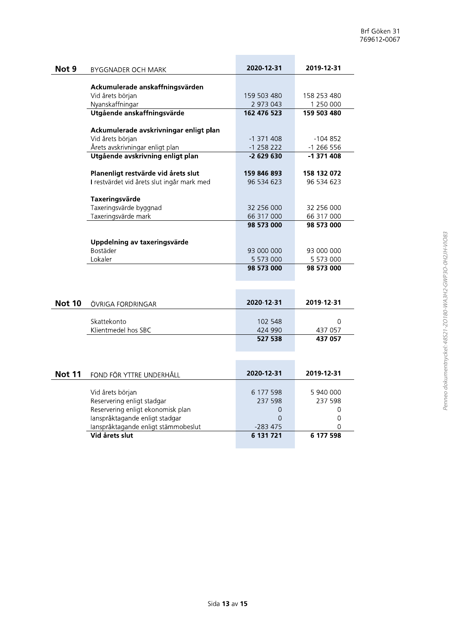|       |                                            |              |                          | Brf Göken 31<br>769612-0067 |
|-------|--------------------------------------------|--------------|--------------------------|-----------------------------|
| Not 9 | <b>BYGGNADER OCH MARK</b>                  | 2020-12-31   | 2019-12-31               |                             |
|       | Ackumulerade anskaffningsvärden            |              |                          |                             |
|       | Vid årets början                           | 159 503 480  | 158 253 480              |                             |
|       | Nyanskaffningar                            | 2 973 043    | 1 250 000                |                             |
|       | Utgående anskaffningsvärde                 | 162 476 523  | 159 503 480              |                             |
|       |                                            |              |                          |                             |
|       | Ackumulerade avskrivningar enligt plan     |              |                          |                             |
|       | Vid årets början                           | $-1371408$   | $-104852$                |                             |
|       | Årets avskrivningar enligt plan            | $-1$ 258 222 | $-1266556$<br>$-1371408$ |                             |
|       | Utgående avskrivning enligt plan           | $-2629630$   |                          |                             |
|       | Planenligt restvärde vid årets slut        | 159 846 893  | 158 132 072              |                             |
|       | I restvärdet vid årets slut ingår mark med | 96 534 623   | 96 534 623               |                             |
|       | Taxeringsvärde                             |              |                          |                             |
|       | Taxeringsvärde byggnad                     | 32 256 000   | 32 256 000               |                             |
|       | Taxeringsvärde mark                        | 66 317 000   | 66 317 000               |                             |
|       |                                            | 98 573 000   | 98 573 000               |                             |
|       |                                            |              |                          |                             |
|       | Uppdelning av taxeringsvärde               |              |                          |                             |
|       | Bostäder                                   | 93 000 000   | 93 000 000               |                             |
|       | Lokaler                                    | 5 573 000    | 5 573 000                |                             |
|       |                                            | 98 573 000   | 98 573 000               |                             |
|       |                                            |              |                          |                             |
|       |                                            |              |                          |                             |
|       |                                            |              |                          |                             |

| 2020-12-31 | 2019-12-31 |
|------------|------------|
| 102 548    |            |
| 424 990    | 437 057    |
| 527 538    | 437 057    |
|            |            |

|               | Uppdelning av taxeringsvärde        |            |            |
|---------------|-------------------------------------|------------|------------|
|               | Bostäder                            | 93 000 000 | 93 000 000 |
|               | Lokaler                             | 5 573 000  | 5 573 000  |
|               |                                     | 98 573 000 | 98 573 000 |
|               |                                     |            |            |
|               |                                     |            |            |
|               |                                     |            |            |
| <b>Not 10</b> | ÖVRIGA FORDRINGAR                   | 2020-12-31 | 2019-12-31 |
|               |                                     |            |            |
|               | Skattekonto                         | 102 548    | $\Omega$   |
|               | Klientmedel hos SBC                 | 424 990    | 437 057    |
|               |                                     | 527 538    | 437 057    |
|               |                                     |            |            |
|               |                                     |            |            |
|               |                                     |            |            |
| <b>Not 11</b> | FOND FÖR YTTRE UNDERHÅLL            | 2020-12-31 | 2019-12-31 |
|               |                                     |            |            |
|               | Vid årets början                    | 6 177 598  | 5 940 000  |
|               | Reservering enligt stadgar          | 237 598    | 237 598    |
|               | Reservering enligt ekonomisk plan   | 0          | 0          |
|               | lanspråktagande enligt stadgar      | 0          | 0          |
|               | lanspråktagande enligt stämmobeslut | $-283475$  | $\Omega$   |
|               |                                     |            |            |
|               | Vid årets slut                      | 6 131 721  | 6 177 598  |
|               |                                     |            |            |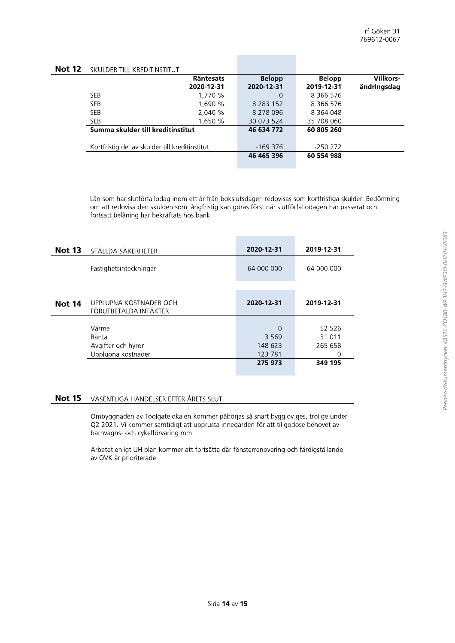| <b>Not 12</b> | SKULDER TILL KREDITINSTITUT |
|---------------|-----------------------------|
|---------------|-----------------------------|

| <b>JINULDEN TILL INNEDHTIIVJTTI UT</b>         |                  |               |               |                  |
|------------------------------------------------|------------------|---------------|---------------|------------------|
|                                                | <b>Räntesats</b> | <b>Belopp</b> | <b>Belopp</b> | <b>Villkors-</b> |
|                                                | 2020-12-31       | 2020-12-31    | 2019-12-31    | ändringsdag      |
| <b>SEB</b>                                     | 1.770 %          | O             | 8 366 576     |                  |
| <b>SEB</b>                                     | 1.690 %          | 8 2 8 3 1 5 2 | 8 366 576     |                  |
| <b>SEB</b>                                     | 2,040 %          | 8 278 096     | 8 364 048     |                  |
| <b>SEB</b>                                     | 1,650 %          | 30 073 524    | 35 708 060    |                  |
| Summa skulder till kreditinstitut              |                  | 46 634 772    | 60 805 260    |                  |
|                                                |                  |               |               |                  |
| Kortfristig del av skulder till kreditinstitut |                  | -169 376      | -250 272      |                  |
|                                                |                  | 46 465 396    | 60 554 988    |                  |
|                                                |                  |               |               |                  |

Lån som har slutförfallodag inom ett år från bokslutsdagen redovisas som kortfristiga skulder. Bedömning om att redovisa den skulden som långfristig kan göras först när slutförfallodagen har passerat och fortsatt belåning har bekräftats hos bank.

| <b>Not 13</b> | STÄLLDA SÄKERHETER                                         | 2020-12-31                                    | 2019-12-31                                  |
|---------------|------------------------------------------------------------|-----------------------------------------------|---------------------------------------------|
|               | Fastighetsinteckningar                                     | 64 000 000                                    | 64 000 000                                  |
| <b>Not 14</b> | UPPLUPNA KOSTNADER OCH<br>FÖRUTBETALDA INTÄKTER            | 2020-12-31                                    | 2019-12-31                                  |
|               | Värme<br>Ränta<br>Avgifter och hyror<br>Upplupna kostnader | 0<br>3 5 6 9<br>148 623<br>123 781<br>275 973 | 52 526<br>31 011<br>265 658<br>0<br>349 195 |

#### **Not 15** VÄSENTLIGA HÄNDELSER EFTER ÅRETS SLUT

Ombyggnaden av Toolgatelokalen kommer påbörjas så snart bygglov ges, trolige under Q2 2021. Vi kommer samtidigt att upprusta innegården för att tillgodose behovet av barnvagns- och cykelförvaring mm.

Arbetet enligt UH plan kommer att fortsätta där fönsterrenovering och färdigställande av OVK är prioriterade.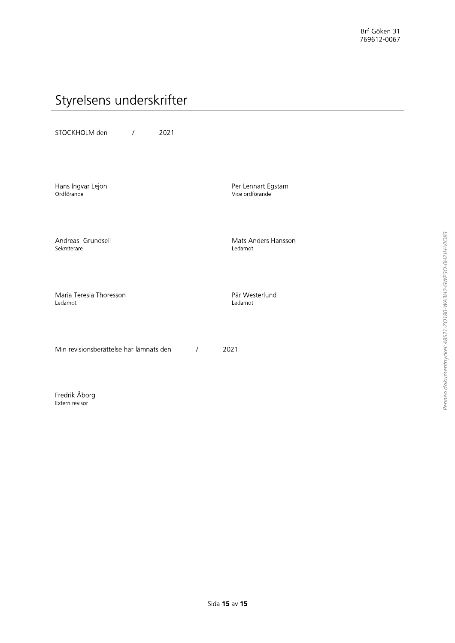## Styrelsens underskrifter

STOCKHOLM den  $\overline{1}$ 2021

Hans Ingvar Lejon Ordförande

Andreas Grundsell Sekreterare

Maria Teresia Thoresson Ledamot

Min revisionsberättelse har lämnats den  $\sqrt{ }$ 2021

Fredrik Åborg Extern revisor

Per Lennart Egstam Vice ordförande

Mats Anders Hansson Ledamot

Pär Westerlund Ledamot

Penneo dokumentnyckel: 48S21-ZO180-WA3H2-GWP3O-0H2JH-VIO83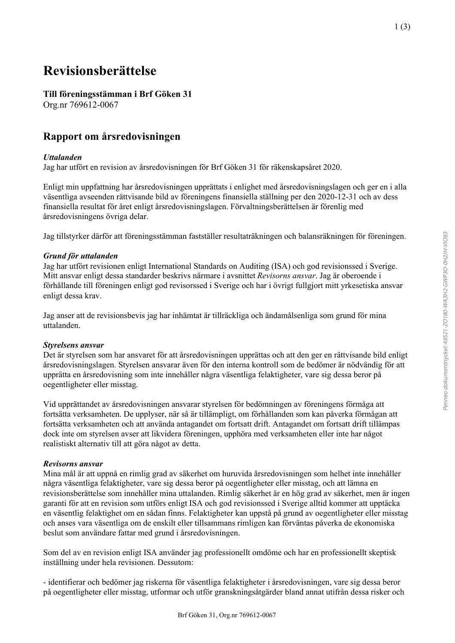## **Revisionsberättelse**

### **Till föreningsstämman i Brf Göken 31**

Org.nr 769612-0067

### **Rapport om årsredovisningen**

### *Uttalanden*

Jag har utfört en revision av årsredovisningen för Brf Göken 31 för räkenskapsåret 2020.

Enligt min uppfattning har årsredovisningen upprättats i enlighet med årsredovisningslagen och ger en i alla väsentliga avseenden rättvisande bild av föreningens finansiella ställning per den 2020-12-31 och av dess finansiella resultat för året enligt årsredovisningslagen. Förvaltningsberättelsen är förenlig med årsredovisningens övriga delar.

Jag tillstyrker därför att föreningsstämman fastställer resultaträkningen och balansräkningen för föreningen.

### *Grund för uttalanden*

Jag har utfört revisionen enligt International Standards on Auditing (ISA) och god revisionssed i Sverige. Mitt ansvar enligt dessa standarder beskrivs närmare i avsnittet *Revisorns ansvar*. Jag är oberoende i förhållande till föreningen enligt god revisorssed i Sverige och har i övrigt fullgjort mitt yrkesetiska ansvar enligt dessa krav.

Jag anser att de revisionsbevis jag har inhämtat är tillräckliga och ändamålsenliga som grund för mina uttalanden.

### *Styrelsens ansvar*

Det är styrelsen som har ansvaret för att årsredovisningen upprättas och att den ger en rättvisande bild enligt årsredovisningslagen. Styrelsen ansvarar även för den interna kontroll som de bedömer är nödvändig för att upprätta en årsredovisning som inte innehåller några väsentliga felaktigheter, vare sig dessa beror på oegentligheter eller misstag.

Vid upprättandet av årsredovisningen ansvarar styrelsen för bedömningen av föreningens förmåga att fortsätta verksamheten. De upplyser, när så är tillämpligt, om förhållanden som kan påverka förmågan att fortsätta verksamheten och att använda antagandet om fortsatt drift. Antagandet om fortsatt drift tillämpas dock inte om styrelsen avser att likvidera föreningen, upphöra med verksamheten eller inte har något realistiskt alternativ till att göra något av detta.

### *Revisorns ansvar*

Mina mål är att uppnå en rimlig grad av säkerhet om huruvida årsredovisningen som helhet inte innehåller några väsentliga felaktigheter, vare sig dessa beror på oegentligheter eller misstag, och att lämna en revisionsberättelse som innehåller mina uttalanden. Rimlig säkerhet är en hög grad av säkerhet, men är ingen garanti för att en revision som utförs enligt ISA och god revisionssed i Sverige alltid kommer att upptäcka en väsentlig felaktighet om en sådan finns. Felaktigheter kan uppstå på grund av oegentligheter eller misstag och anses vara väsentliga om de enskilt eller tillsammans rimligen kan förväntas påverka de ekonomiska beslut som användare fattar med grund i årsredovisningen.

Som del av en revision enligt ISA använder jag professionellt omdöme och har en professionellt skeptisk inställning under hela revisionen. Dessutom:

- identifierar och bedömer jag riskerna för väsentliga felaktigheter i årsredovisningen, vare sig dessa beror på oegentligheter eller misstag, utformar och utför granskningsåtgärder bland annat utifrån dessa risker och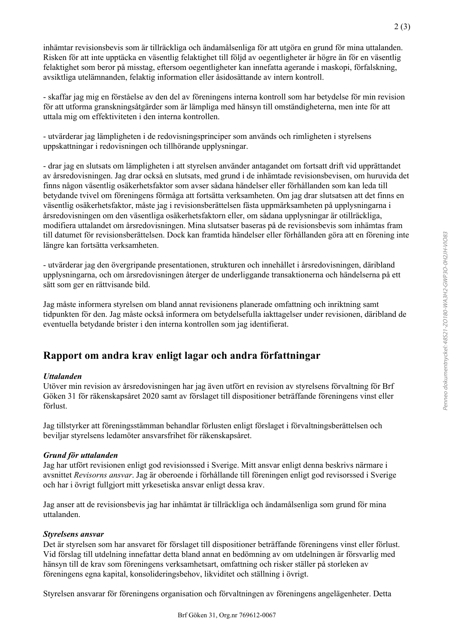2 (3)

inhämtar revisionsbevis som är tillräckliga och ändamålsenliga för att utgöra en grund för mina uttalanden. Risken för att inte upptäcka en väsentlig felaktighet till följd av oegentligheter är högre än för en väsentlig felaktighet som beror på misstag, eftersom oegentligheter kan innefatta agerande i maskopi, förfalskning, avsiktliga utelämnanden, felaktig information eller åsidosättande av intern kontroll.

- skaffar jag mig en förståelse av den del av föreningens interna kontroll som har betydelse för min revision för att utforma granskningsåtgärder som är lämpliga med hänsyn till omständigheterna, men inte för att uttala mig om effektiviteten i den interna kontrollen.

- utvärderar jag lämpligheten i de redovisningsprinciper som används och rimligheten i styrelsens uppskattningar i redovisningen och tillhörande upplysningar.

- drar jag en slutsats om lämpligheten i att styrelsen använder antagandet om fortsatt drift vid upprättandet av årsredovisningen. Jag drar också en slutsats, med grund i de inhämtade revisionsbevisen, om huruvida det finns någon väsentlig osäkerhetsfaktor som avser sådana händelser eller förhållanden som kan leda till betydande tvivel om föreningens förmåga att fortsätta verksamheten. Om jag drar slutsatsen att det finns en väsentlig osäkerhetsfaktor, måste jag i revisionsberättelsen fästa uppmärksamheten på upplysningarna i årsredovisningen om den väsentliga osäkerhetsfaktorn eller, om sådana upplysningar är otillräckliga, modifiera uttalandet om årsredovisningen. Mina slutsatser baseras på de revisionsbevis som inhämtas fram till datumet för revisionsberättelsen. Dock kan framtida händelser eller förhållanden göra att en förening inte längre kan fortsätta verksamheten.

- utvärderar jag den övergripande presentationen, strukturen och innehållet i årsredovisningen, däribland upplysningarna, och om årsredovisningen återger de underliggande transaktionerna och händelserna på ett sätt som ger en rättvisande bild.

Jag måste informera styrelsen om bland annat revisionens planerade omfattning och inriktning samt tidpunkten för den. Jag måste också informera om betydelsefulla iakttagelser under revisionen, däribland de eventuella betydande brister i den interna kontrollen som jag identifierat.

### **Rapport om andra krav enligt lagar och andra författningar**

### *Uttalanden*

Utöver min revision av årsredovisningen har jag även utfört en revision av styrelsens förvaltning för Brf Göken 31 för räkenskapsåret 2020 samt av förslaget till dispositioner beträffande föreningens vinst eller förlust.

Jag tillstyrker att föreningsstämman behandlar förlusten enligt förslaget i förvaltningsberättelsen och beviljar styrelsens ledamöter ansvarsfrihet för räkenskapsåret.

### *Grund för uttalanden*

Jag har utfört revisionen enligt god revisionssed i Sverige. Mitt ansvar enligt denna beskrivs närmare i avsnittet *Revisorns ansvar*. Jag är oberoende i förhållande till föreningen enligt god revisorssed i Sverige och har i övrigt fullgjort mitt yrkesetiska ansvar enligt dessa krav.

Jag anser att de revisionsbevis jag har inhämtat är tillräckliga och ändamålsenliga som grund för mina uttalanden.

### *Styrelsens ansvar*

Det är styrelsen som har ansvaret för förslaget till dispositioner beträffande föreningens vinst eller förlust. Vid förslag till utdelning innefattar detta bland annat en bedömning av om utdelningen är försvarlig med hänsyn till de krav som föreningens verksamhetsart, omfattning och risker ställer på storleken av föreningens egna kapital, konsolideringsbehov, likviditet och ställning i övrigt.

Styrelsen ansvarar för föreningens organisation och förvaltningen av föreningens angelägenheter. Detta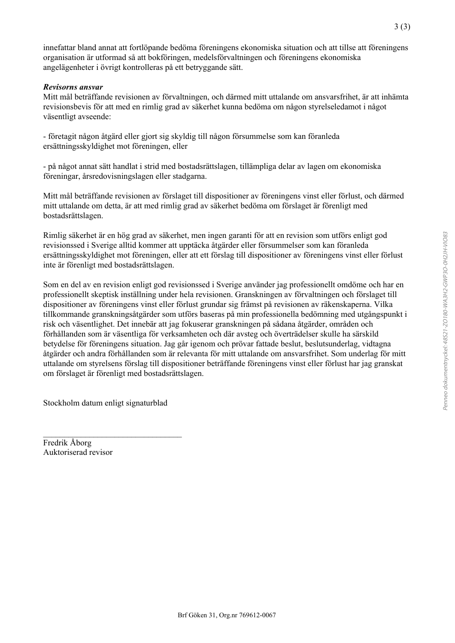innefattar bland annat att fortlöpande bedöma föreningens ekonomiska situation och att tillse att föreningens organisation är utformad så att bokföringen, medelsförvaltningen och föreningens ekonomiska angelägenheter i övrigt kontrolleras på ett betryggande sätt.

### *Revisorns ansvar*

Mitt mål beträffande revisionen av förvaltningen, och därmed mitt uttalande om ansvarsfrihet, är att inhämta revisionsbevis för att med en rimlig grad av säkerhet kunna bedöma om någon styrelseledamot i något väsentligt avseende:

- företagit någon åtgärd eller gjort sig skyldig till någon försummelse som kan föranleda ersättningsskyldighet mot föreningen, eller

- på något annat sätt handlat i strid med bostadsrättslagen, tillämpliga delar av lagen om ekonomiska föreningar, årsredovisningslagen eller stadgarna.

Mitt mål beträffande revisionen av förslaget till dispositioner av föreningens vinst eller förlust, och därmed mitt uttalande om detta, är att med rimlig grad av säkerhet bedöma om förslaget är förenligt med bostadsrättslagen.

Rimlig säkerhet är en hög grad av säkerhet, men ingen garanti för att en revision som utförs enligt god revisionssed i Sverige alltid kommer att upptäcka åtgärder eller försummelser som kan föranleda ersättningsskyldighet mot föreningen, eller att ett förslag till dispositioner av föreningens vinst eller förlust inte är förenligt med bostadsrättslagen.

Som en del av en revision enligt god revisionssed i Sverige använder jag professionellt omdöme och har en professionellt skeptisk inställning under hela revisionen. Granskningen av förvaltningen och förslaget till dispositioner av föreningens vinst eller förlust grundar sig främst på revisionen av räkenskaperna. Vilka tillkommande granskningsåtgärder som utförs baseras på min professionella bedömning med utgångspunkt i risk och väsentlighet. Det innebär att jag fokuserar granskningen på sådana åtgärder, områden och förhållanden som är väsentliga för verksamheten och där avsteg och överträdelser skulle ha särskild betydelse för föreningens situation. Jag går igenom och prövar fattade beslut, beslutsunderlag, vidtagna åtgärder och andra förhållanden som är relevanta för mitt uttalande om ansvarsfrihet. Som underlag för mitt uttalande om styrelsens förslag till dispositioner beträffande föreningens vinst eller förlust har jag granskat om förslaget är förenligt med bostadsrättslagen.

Stockholm datum enligt signaturblad

\_\_\_\_\_\_\_\_\_\_\_\_\_\_\_\_\_\_\_\_\_\_\_\_\_\_\_\_\_\_\_\_\_

Fredrik Åborg Auktoriserad revisor